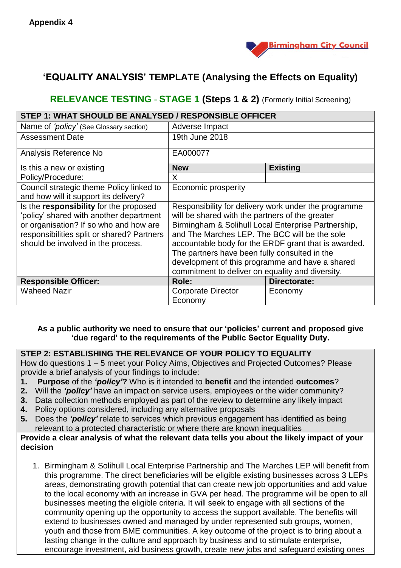

# **'EQUALITY ANALYSIS' TEMPLATE (Analysing the Effects on Equality)**

## **RELEVANCE TESTING - STAGE 1 (Steps 1 & 2)** (Formerly Initial Screening)

| <b>STEP 1: WHAT SHOULD BE ANALYSED / RESPONSIBLE OFFICER</b>                                                                                                                                                    |                                                                                                                                                                                                                                                                                                                                                                                                                                 |                 |  |  |  |
|-----------------------------------------------------------------------------------------------------------------------------------------------------------------------------------------------------------------|---------------------------------------------------------------------------------------------------------------------------------------------------------------------------------------------------------------------------------------------------------------------------------------------------------------------------------------------------------------------------------------------------------------------------------|-----------------|--|--|--|
| Name of 'policy' (See Glossary section)                                                                                                                                                                         | Adverse Impact                                                                                                                                                                                                                                                                                                                                                                                                                  |                 |  |  |  |
| <b>Assessment Date</b>                                                                                                                                                                                          | 19th June 2018                                                                                                                                                                                                                                                                                                                                                                                                                  |                 |  |  |  |
| Analysis Reference No                                                                                                                                                                                           | EA000077                                                                                                                                                                                                                                                                                                                                                                                                                        |                 |  |  |  |
| Is this a new or existing                                                                                                                                                                                       | <b>New</b>                                                                                                                                                                                                                                                                                                                                                                                                                      | <b>Existing</b> |  |  |  |
| Policy/Procedure:                                                                                                                                                                                               | X.                                                                                                                                                                                                                                                                                                                                                                                                                              |                 |  |  |  |
| Council strategic theme Policy linked to<br>and how will it support its delivery?                                                                                                                               | Economic prosperity                                                                                                                                                                                                                                                                                                                                                                                                             |                 |  |  |  |
| Is the responsibility for the proposed<br>'policy' shared with another department<br>or organisation? If so who and how are<br>responsibilities split or shared? Partners<br>should be involved in the process. | Responsibility for delivery work under the programme<br>will be shared with the partners of the greater<br>Birmingham & Solihull Local Enterprise Partnership,<br>and The Marches LEP. The BCC will be the sole<br>accountable body for the ERDF grant that is awarded.<br>The partners have been fully consulted in the<br>development of this programme and have a shared<br>commitment to deliver on equality and diversity. |                 |  |  |  |
| <b>Responsible Officer:</b>                                                                                                                                                                                     | Role:                                                                                                                                                                                                                                                                                                                                                                                                                           | Directorate:    |  |  |  |
| <b>Waheed Nazir</b>                                                                                                                                                                                             | <b>Corporate Director</b><br>Economy                                                                                                                                                                                                                                                                                                                                                                                            | Economy         |  |  |  |

#### **As a public authority we need to ensure that our 'policies' current and proposed give 'due regard' to the requirements of the Public Sector Equality Duty.**

#### **STEP 2: ESTABLISHING THE RELEVANCE OF YOUR POLICY TO EQUALITY**

How do questions 1 – 5 meet your Policy Aims, Objectives and Projected Outcomes? Please provide a brief analysis of your findings to include:

- **1. Purpose** of the *'policy'***?** Who is it intended to **benefit** and the intended **outcomes**?
- **2.** Will the *'policy'* have an impact on service users, employees or the wider community?
- **3.** Data collection methods employed as part of the review to determine any likely impact
- **4.** Policy options considered, including any alternative proposals
- **5.** Does the *'policy'* relate to services which previous engagement has identified as being relevant to a protected characteristic or where there are known inequalities

#### **Provide a clear analysis of what the relevant data tells you about the likely impact of your decision**

1. Birmingham & Solihull Local Enterprise Partnership and The Marches LEP will benefit from this programme. The direct beneficiaries will be eligible existing businesses across 3 LEPs areas, demonstrating growth potential that can create new job opportunities and add value to the local economy with an increase in GVA per head. The programme will be open to all businesses meeting the eligible criteria. It will seek to engage with all sections of the community opening up the opportunity to access the support available. The benefits will extend to businesses owned and managed by under represented sub groups, women, youth and those from BME communities. A key outcome of the project is to bring about a lasting change in the culture and approach by business and to stimulate enterprise, encourage investment, aid business growth, create new jobs and safeguard existing ones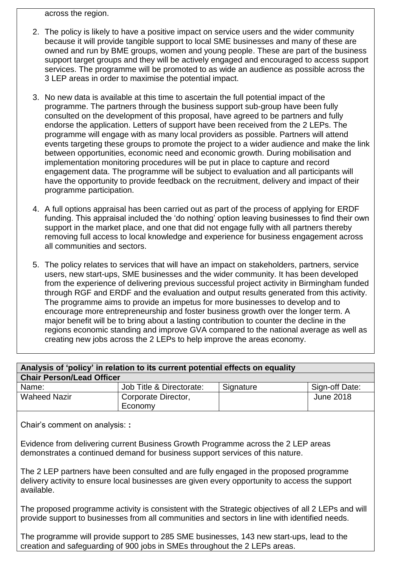across the region.

- 2. The policy is likely to have a positive impact on service users and the wider community because it will provide tangible support to local SME businesses and many of these are owned and run by BME groups, women and young people. These are part of the business support target groups and they will be actively engaged and encouraged to access support services. The programme will be promoted to as wide an audience as possible across the 3 LEP areas in order to maximise the potential impact.
- 3. No new data is available at this time to ascertain the full potential impact of the programme. The partners through the business support sub-group have been fully consulted on the development of this proposal, have agreed to be partners and fully endorse the application. Letters of support have been received from the 2 LEPs. The programme will engage with as many local providers as possible. Partners will attend events targeting these groups to promote the project to a wider audience and make the link between opportunities, economic need and economic growth. During mobilisation and implementation monitoring procedures will be put in place to capture and record engagement data. The programme will be subject to evaluation and all participants will have the opportunity to provide feedback on the recruitment, delivery and impact of their programme participation.
- 4. A full options appraisal has been carried out as part of the process of applying for ERDF funding. This appraisal included the 'do nothing' option leaving businesses to find their own support in the market place, and one that did not engage fully with all partners thereby removing full access to local knowledge and experience for business engagement across all communities and sectors.
- 5. The policy relates to services that will have an impact on stakeholders, partners, service users, new start-ups, SME businesses and the wider community. It has been developed from the experience of delivering previous successful project activity in Birmingham funded through RGF and ERDF and the evaluation and output results generated from this activity. The programme aims to provide an impetus for more businesses to develop and to encourage more entrepreneurship and foster business growth over the longer term. A major benefit will be to bring about a lasting contribution to counter the decline in the regions economic standing and improve GVA compared to the national average as well as creating new jobs across the 2 LEPs to help improve the areas economy.

| Analysis of 'policy' in relation to its current potential effects on equality |                                |           |                |  |  |
|-------------------------------------------------------------------------------|--------------------------------|-----------|----------------|--|--|
| <b>Chair Person/Lead Officer</b>                                              |                                |           |                |  |  |
| Name:                                                                         | Job Title & Directorate:       | Signature | Sign-off Date: |  |  |
| <b>Waheed Nazir</b>                                                           | Corporate Director,<br>Economy |           | June 2018      |  |  |

Chair's comment on analysis: **:** 

Evidence from delivering current Business Growth Programme across the 2 LEP areas demonstrates a continued demand for business support services of this nature.

The 2 LEP partners have been consulted and are fully engaged in the proposed programme delivery activity to ensure local businesses are given every opportunity to access the support available.

The proposed programme activity is consistent with the Strategic objectives of all 2 LEPs and will provide support to businesses from all communities and sectors in line with identified needs.

The programme will provide support to 285 SME businesses, 143 new start-ups, lead to the creation and safeguarding of 900 jobs in SMEs throughout the 2 LEPs areas.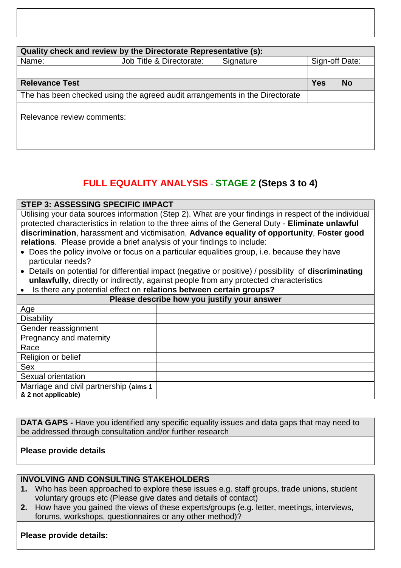| Quality check and review by the Directorate Representative (s):             |                          |           |                |  |  |  |  |
|-----------------------------------------------------------------------------|--------------------------|-----------|----------------|--|--|--|--|
| Name:                                                                       | Job Title & Directorate: | Signature | Sign-off Date: |  |  |  |  |
|                                                                             |                          |           |                |  |  |  |  |
| <b>Relevance Test</b>                                                       | <b>Yes</b>               | <b>No</b> |                |  |  |  |  |
| The has been checked using the agreed audit arrangements in the Directorate |                          |           |                |  |  |  |  |
| Relevance review comments:                                                  |                          |           |                |  |  |  |  |

# **FULL EQUALITY ANALYSIS - STAGE 2 (Steps 3 to 4)**

#### **STEP 3: ASSESSING SPECIFIC IMPACT**

Utilising your data sources information (Step 2). What are your findings in respect of the individual protected characteristics in relation to the three aims of the General Duty - **Eliminate unlawful discrimination**, harassment and victimisation, **Advance equality of opportunity**, **Foster good relations**. Please provide a brief analysis of your findings to include:

- Does the policy involve or focus on a particular equalities group, i.e. because they have particular needs?
- Details on potential for differential impact (negative or positive) / possibility of **discriminating unlawfully**, directly or indirectly, against people from any protected characteristics
- Is there any potential effect on **relations between certain groups?**

| .<br>Please describe how you justify your answer |  |  |  |  |
|--------------------------------------------------|--|--|--|--|
| Age                                              |  |  |  |  |
| <b>Disability</b>                                |  |  |  |  |
| Gender reassignment                              |  |  |  |  |
| Pregnancy and maternity                          |  |  |  |  |
| Race                                             |  |  |  |  |
| Religion or belief                               |  |  |  |  |
| <b>Sex</b>                                       |  |  |  |  |
| Sexual orientation                               |  |  |  |  |
| Marriage and civil partnership (aims 1           |  |  |  |  |
| & 2 not applicable)                              |  |  |  |  |

**DATA GAPS** - Have you identified any specific equality issues and data gaps that may need to be addressed through consultation and/or further research

### **Please provide details**

#### **INVOLVING AND CONSULTING STAKEHOLDERS**

- **1.** Who has been approached to explore these issues e.g. staff groups, trade unions, student voluntary groups etc (Please give dates and details of contact)
- **2.** How have you gained the views of these experts/groups (e.g. letter, meetings, interviews, forums, workshops, questionnaires or any other method)?

#### **Please provide details:**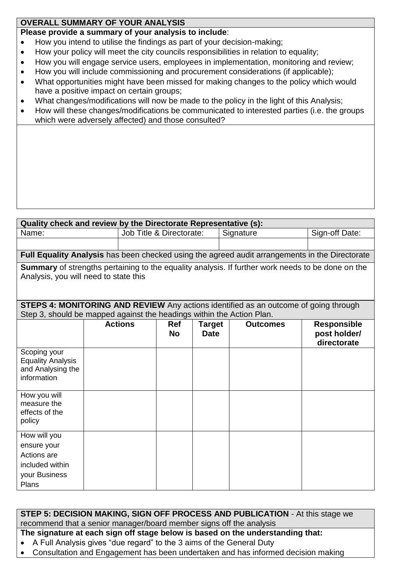### **OVERALL SUMMARY OF YOUR ANALYSIS**

## **Please provide a summary of your analysis to include**:

- How you intend to utilise the findings as part of your decision-making;
- How your policy will meet the city councils responsibilities in relation to equality;
- How you will engage service users, employees in implementation, monitoring and review;
- How you will include commissioning and procurement considerations (if applicable);
- What opportunities might have been missed for making changes to the policy which would have a positive impact on certain groups;
- What changes/modifications will now be made to the policy in the light of this Analysis;
- How will these changes/modifications be communicated to interested parties (i.e. the groups which were adversely affected) and those consulted?

| Quality check and review by the Directorate Representative (s):                                                                            |  |                          |                         |                              |  |                 |                                                                                                |
|--------------------------------------------------------------------------------------------------------------------------------------------|--|--------------------------|-------------------------|------------------------------|--|-----------------|------------------------------------------------------------------------------------------------|
| Name:                                                                                                                                      |  | Job Title & Directorate: |                         | Signature                    |  | Sign-off Date:  |                                                                                                |
|                                                                                                                                            |  |                          |                         |                              |  |                 |                                                                                                |
|                                                                                                                                            |  |                          |                         |                              |  |                 | Full Equality Analysis has been checked using the agreed audit arrangements in the Directorate |
| Summary of strengths pertaining to the equality analysis. If further work needs to be done on the<br>Analysis, you will need to state this |  |                          |                         |                              |  |                 |                                                                                                |
| <b>STEPS 4: MONITORING AND REVIEW</b> Any actions identified as an outcome of going through                                                |  |                          |                         |                              |  |                 |                                                                                                |
| Step 3, should be mapped against the headings within the Action Plan.                                                                      |  |                          |                         |                              |  |                 |                                                                                                |
|                                                                                                                                            |  | <b>Actions</b>           | <b>Ref</b><br><b>No</b> | <b>Target</b><br><b>Date</b> |  | <b>Outcomes</b> | <b>Responsible</b><br>post holder/<br>directorate                                              |
| Scoping your<br><b>Equality Analysis</b><br>and Analysing the<br>information                                                               |  |                          |                         |                              |  |                 |                                                                                                |
| How you will<br>measure the<br>effects of the<br>policy                                                                                    |  |                          |                         |                              |  |                 |                                                                                                |
| How will you<br>ensure your<br>Actions are<br>included within<br>your Business<br>Plans                                                    |  |                          |                         |                              |  |                 |                                                                                                |

| STEP 5: DECISION MAKING, SIGN OFF PROCESS AND PUBLICATION - At this stage we   |
|--------------------------------------------------------------------------------|
| recommend that a senior manager/board member signs off the analysis            |
| The cianature at each cian off ctage below is based on the understanding that: |

- **The signature at each sign off stage below is based on the understanding that:**
- A Full Analysis gives "due regard" to the 3 aims of the General Duty
- Consultation and Engagement has been undertaken and has informed decision making